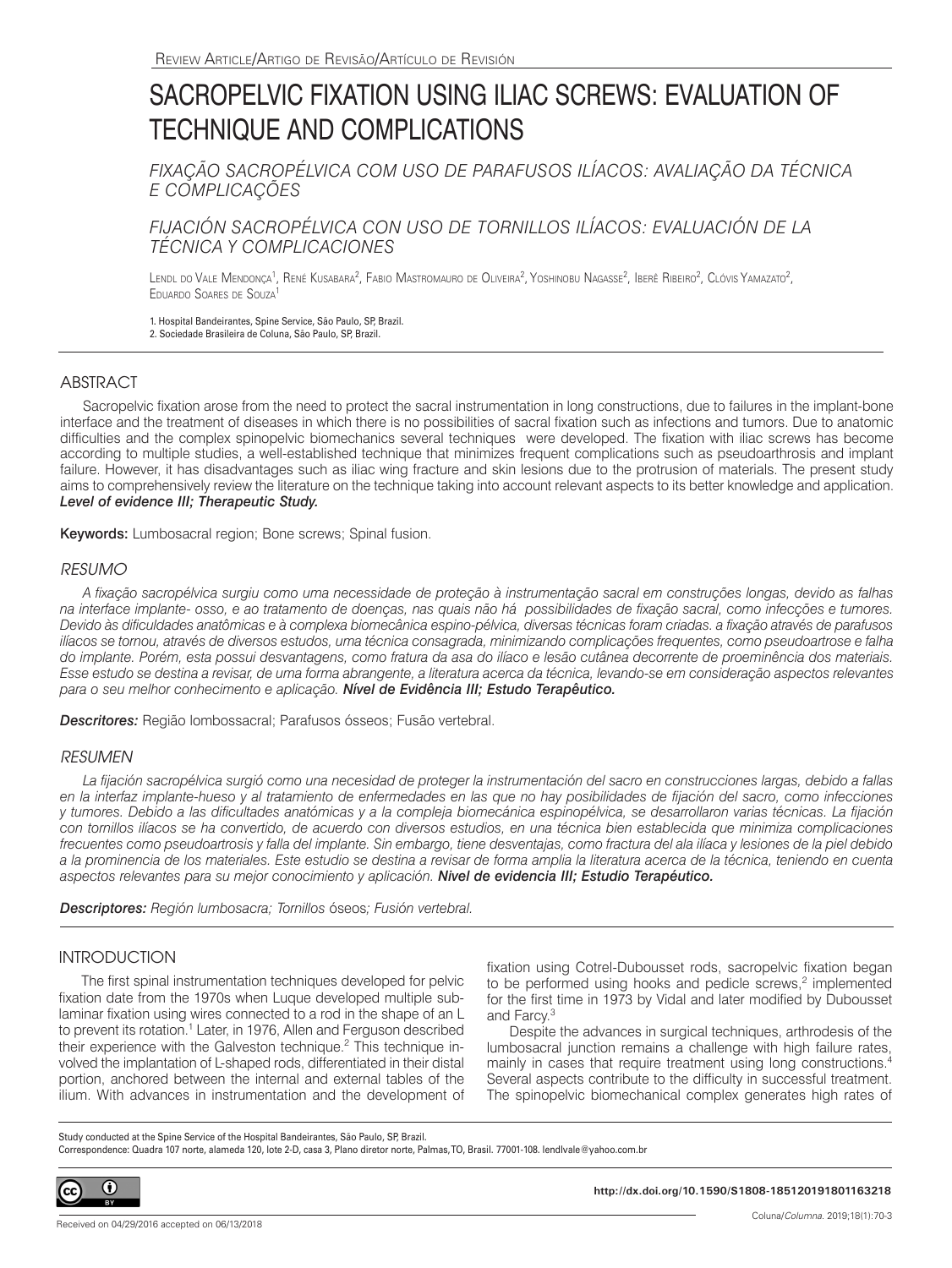# SACROPELVIC FIXATION USING ILIAC SCREWS: EVALUATION OF TECHNIQUE AND COMPLICATIONS

*FIXAÇÃO SACROPÉLVICA COM USO DE PARAFUSOS ILÍACOS: AVALIAÇÃO DA TÉCNICA E COMPLICAÇÕES* 

## *FIJACIÓN SACROPÉLVICA CON USO DE TORNILLOS ILÍACOS: EVALUACIÓN DE LA TÉCNICA Y COMPLICACIONES*

Lendl do Vale Mendonça<sup>1</sup>, René Kusabara<sup>2</sup>, Fabio Mastromauro de Oliveira<sup>2</sup>, Yoshinobu Nagasse<sup>2</sup>, Iberê Ribeiro<sup>2</sup>, Clóvis Yamazato<sup>2</sup>, Eduardo Soares de Souza1

1. Hospital Bandeirantes, Spine Service, São Paulo, SP, Brazil. 2. Sociedade Brasileira de Coluna, São Paulo, SP, Brazil.

## **ABSTRACT**

Sacropelvic fixation arose from the need to protect the sacral instrumentation in long constructions, due to failures in the implant-bone interface and the treatment of diseases in which there is no possibilities of sacral fixation such as infections and tumors. Due to anatomic difficulties and the complex spinopelvic biomechanics several techniques were developed. The fixation with iliac screws has become according to multiple studies, a well-established technique that minimizes frequent complications such as pseudoarthrosis and implant failure. However, it has disadvantages such as iliac wing fracture and skin lesions due to the protrusion of materials. The present study aims to comprehensively review the literature on the technique taking into account relevant aspects to its better knowledge and application. *Level of evidence III; Therapeutic Study.*

Keywords: Lumbosacral region; Bone screws; Spinal fusion.

## *RESUMO*

*A fixação sacropélvica surgiu como uma necessidade de proteção à instrumentação sacral em construções longas, devido as falhas na interface implante- osso, e ao tratamento de doenças, nas quais não há possibilidades de fixação sacral, como infecções e tumores. Devido às dificuldades anatômicas e à complexa biomecânica espino-pélvica, diversas técnicas foram criadas. a fixação através de parafusos ilíacos se tornou, através de diversos estudos, uma técnica consagrada, minimizando complicações frequentes, como pseudoartrose e falha do implante. Porém, esta possui desvantagens, como fratura da asa do ilíaco e lesão cutânea decorrente de proeminência dos materiais. Esse estudo se destina a revisar, de uma forma abrangente, a literatura acerca da técnica, levando-se em consideração aspectos relevantes para o seu melhor conhecimento e aplicação. Nível de Evidência III; Estudo Terapêutico.*

*Descritores:* Região lombossacral; Parafusos ósseos; Fusão vertebral.

## *RESUMEN*

*La fijación sacropélvica surgió como una necesidad de proteger la instrumentación del sacro en construcciones largas, debido a fallas en la interfaz implante-hueso y al tratamiento de enfermedades en las que no hay posibilidades de fijación del sacro, como infecciones y tumores. Debido a las dificultades anatómicas y a la compleja biomecánica espinopélvica, se desarrollaron varias técnicas. La fijación*  con tornillos ilíacos se ha convertido, de acuerdo con diversos estudios, en una técnica bien establecida que minimiza complicaciones *frecuentes como pseudoartrosis y falla del implante. Sin embargo, tiene desventajas, como fractura del ala ilíaca y lesiones de la piel debido a la prominencia de los materiales. Este estudio se destina a revisar de forma amplia la literatura acerca de la técnica, teniendo en cuenta aspectos relevantes para su mejor conocimiento y aplicación. Nivel de evidencia III; Estudio Terapéutico.*

*Descriptores: Región lumbosacra; Tornillos* óseos*; Fusión vertebral.*

## **INTRODUCTION**

The first spinal instrumentation techniques developed for pelvic fixation date from the 1970s when Luque developed multiple sublaminar fixation using wires connected to a rod in the shape of an L to prevent its rotation.<sup>1</sup> Later, in 1976, Allen and Ferguson described their experience with the Galveston technique.<sup>2</sup> This technique involved the implantation of L-shaped rods, differentiated in their distal portion, anchored between the internal and external tables of the ilium. With advances in instrumentation and the development of fixation using Cotrel-Dubousset rods, sacropelvic fixation began to be performed using hooks and pedicle screws,<sup>2</sup> implemented for the first time in 1973 by Vidal and later modified by Dubousset and Farcy.3

Despite the advances in surgical techniques, arthrodesis of the lumbosacral junction remains a challenge with high failure rates, mainly in cases that require treatment using long constructions.4 Several aspects contribute to the difficulty in successful treatment. The spinopelvic biomechanical complex generates high rates of

Study conducted at the Spine Service of the Hospital Bandeirantes, São Paulo, SP, Brazil. Correspondence: Quadra 107 norte, alameda 120, lote 2-D, casa 3, Plano diretor norte, Palmas, TO, Brasil. 77001-108. lendlvale@yahoo.com.br



**http://dx.doi.org/10.1590/S1808-185120191801163218**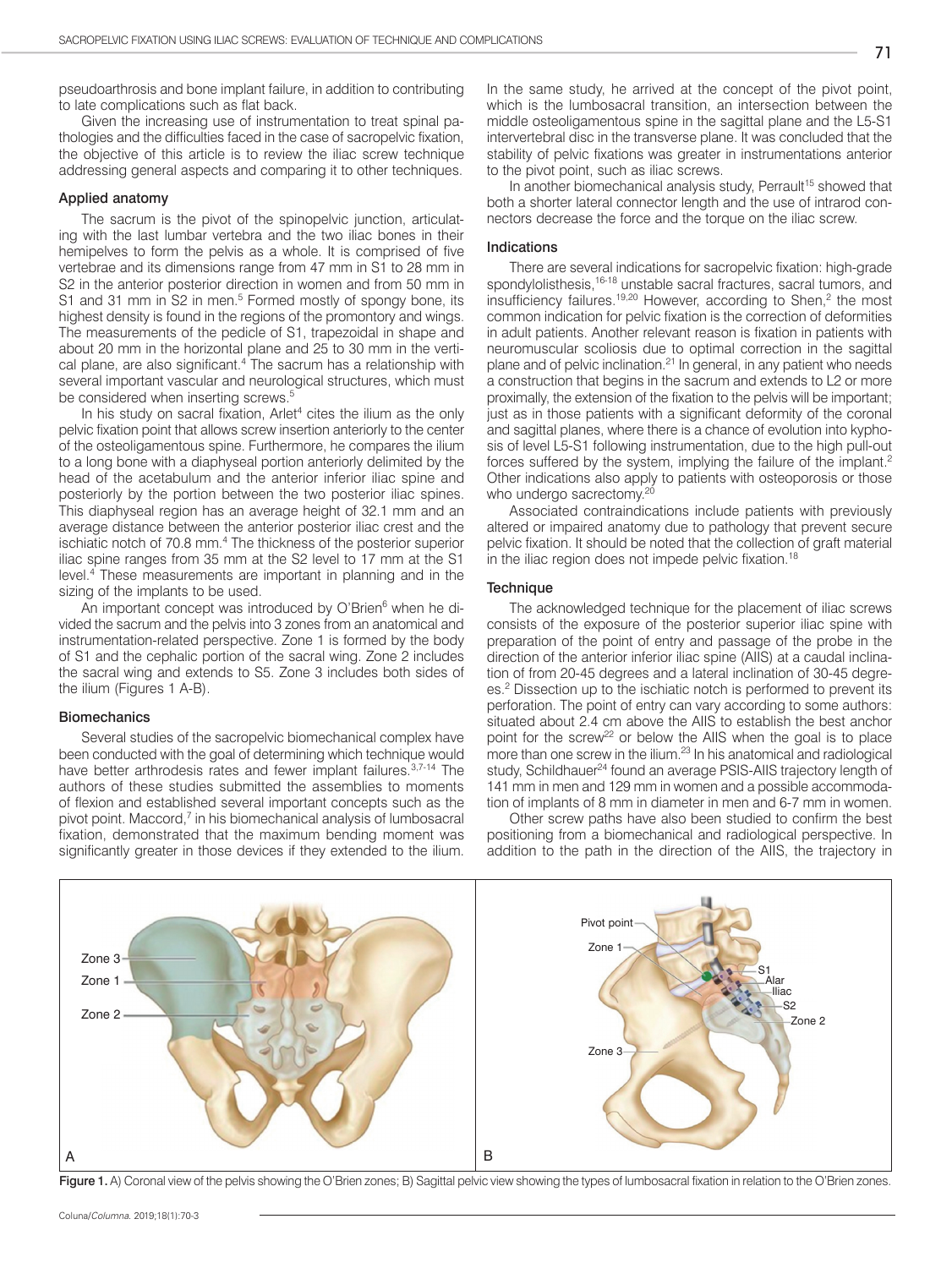pseudoarthrosis and bone implant failure, in addition to contributing to late complications such as flat back.

Given the increasing use of instrumentation to treat spinal pathologies and the difficulties faced in the case of sacropelvic fixation, the objective of this article is to review the iliac screw technique addressing general aspects and comparing it to other techniques.

#### Applied anatomy

The sacrum is the pivot of the spinopelvic junction, articulating with the last lumbar vertebra and the two iliac bones in their hemipelves to form the pelvis as a whole. It is comprised of five vertebrae and its dimensions range from 47 mm in S1 to 28 mm in S2 in the anterior posterior direction in women and from 50 mm in S1 and 31 mm in S2 in men.<sup>5</sup> Formed mostly of spongy bone, its highest density is found in the regions of the promontory and wings. The measurements of the pedicle of S1, trapezoidal in shape and about 20 mm in the horizontal plane and 25 to 30 mm in the vertical plane, are also significant.<sup>4</sup> The sacrum has a relationship with several important vascular and neurological structures, which must be considered when inserting screws.<sup>5</sup>

In his study on sacral fixation, Arlet<sup>4</sup> cites the ilium as the only pelvic fixation point that allows screw insertion anteriorly to the center of the osteoligamentous spine. Furthermore, he compares the ilium to a long bone with a diaphyseal portion anteriorly delimited by the head of the acetabulum and the anterior inferior iliac spine and posteriorly by the portion between the two posterior iliac spines. This diaphyseal region has an average height of 32.1 mm and an average distance between the anterior posterior iliac crest and the ischiatic notch of 70.8 mm.<sup>4</sup> The thickness of the posterior superior iliac spine ranges from 35 mm at the S2 level to 17 mm at the S1 level.4 These measurements are important in planning and in the sizing of the implants to be used.

An important concept was introduced by O'Brien<sup>6</sup> when he divided the sacrum and the pelvis into 3 zones from an anatomical and instrumentation-related perspective. Zone 1 is formed by the body of S1 and the cephalic portion of the sacral wing. Zone 2 includes the sacral wing and extends to S5. Zone 3 includes both sides of the ilium (Figures 1 A-B).

#### **Biomechanics**

Several studies of the sacropelvic biomechanical complex have been conducted with the goal of determining which technique would have better arthrodesis rates and fewer implant failures.<sup>3,7-14</sup> The authors of these studies submitted the assemblies to moments of flexion and established several important concepts such as the pivot point. Maccord,<sup>7</sup> in his biomechanical analysis of lumbosacral fixation, demonstrated that the maximum bending moment was significantly greater in those devices if they extended to the ilium.

In the same study, he arrived at the concept of the pivot point, which is the lumbosacral transition, an intersection between the middle osteoligamentous spine in the sagittal plane and the L5-S1 intervertebral disc in the transverse plane. It was concluded that the stability of pelvic fixations was greater in instrumentations anterior to the pivot point, such as iliac screws.

In another biomechanical analysis study, Perrault<sup>15</sup> showed that both a shorter lateral connector length and the use of intrarod connectors decrease the force and the torque on the iliac screw.

### Indications

There are several indications for sacropelvic fixation: high-grade spondylolisthesis.<sup>16-18</sup> unstable sacral fractures, sacral tumors, and insufficiency failures.<sup>19,20</sup> However, according to Shen,<sup>2</sup> the most common indication for pelvic fixation is the correction of deformities in adult patients. Another relevant reason is fixation in patients with neuromuscular scoliosis due to optimal correction in the sagittal plane and of pelvic inclination.<sup>21</sup> In general, in any patient who needs a construction that begins in the sacrum and extends to L2 or more proximally, the extension of the fixation to the pelvis will be important; just as in those patients with a significant deformity of the coronal and sagittal planes, where there is a chance of evolution into kyphosis of level L5-S1 following instrumentation, due to the high pull-out forces suffered by the system, implying the failure of the implant.<sup>2</sup> Other indications also apply to patients with osteoporosis or those who undergo sacrectomy.<sup>20</sup>

Associated contraindications include patients with previously altered or impaired anatomy due to pathology that prevent secure pelvic fixation. It should be noted that the collection of graft material in the iliac region does not impede pelvic fixation.<sup>18</sup>

#### **Technique**

The acknowledged technique for the placement of iliac screws consists of the exposure of the posterior superior iliac spine with preparation of the point of entry and passage of the probe in the direction of the anterior inferior iliac spine (AIIS) at a caudal inclination of from 20-45 degrees and a lateral inclination of 30-45 degrees.2 Dissection up to the ischiatic notch is performed to prevent its perforation. The point of entry can vary according to some authors: situated about 2.4 cm above the AIIS to establish the best anchor point for the screw<sup>22</sup> or below the AIIS when the goal is to place more than one screw in the ilium.<sup>23</sup> In his anatomical and radiological study, Schildhauer<sup>24</sup> found an average PSIS-AIIS trajectory length of 141 mm in men and 129 mm in women and a possible accommodation of implants of 8 mm in diameter in men and 6-7 mm in women.

Other screw paths have also been studied to confirm the best positioning from a biomechanical and radiological perspective. In addition to the path in the direction of the AIIS, the trajectory in



Figure 1. A) Coronal view of the pelvis showing the O'Brien zones; B) Sagittal pelvic view showing the types of lumbosacral fixation in relation to the O'Brien zones.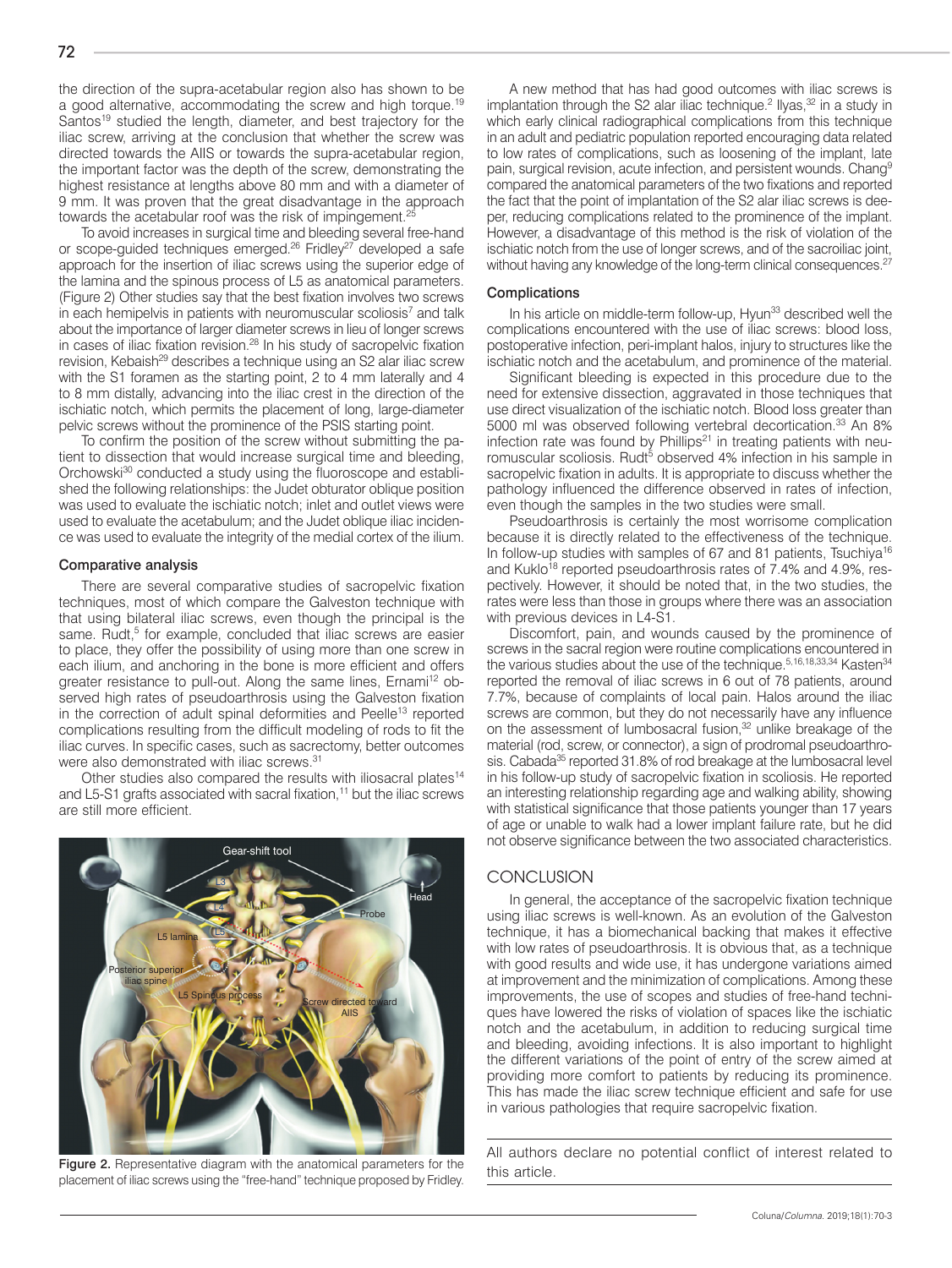the direction of the supra-acetabular region also has shown to be a good alternative, accommodating the screw and high torque.19 Santos<sup>19</sup> studied the length, diameter, and best trajectory for the iliac screw, arriving at the conclusion that whether the screw was directed towards the AIIS or towards the supra-acetabular region, the important factor was the depth of the screw, demonstrating the highest resistance at lengths above 80 mm and with a diameter of 9 mm. It was proven that the great disadvantage in the approach towards the acetabular roof was the risk of impingement.<sup>25</sup>

To avoid increases in surgical time and bleeding several free-hand or scope-quided techniques emerged.<sup>26</sup> Fridley<sup>27</sup> developed a safe approach for the insertion of iliac screws using the superior edge of the lamina and the spinous process of L5 as anatomical parameters. (Figure 2) Other studies say that the best fixation involves two screws in each hemipelvis in patients with neuromuscular scoliosis<sup>7</sup> and talk about the importance of larger diameter screws in lieu of longer screws in cases of iliac fixation revision.<sup>28</sup> In his study of sacropelvic fixation revision, Kebaish<sup>29</sup> describes a technique using an S2 alar iliac screw with the S1 foramen as the starting point, 2 to 4 mm laterally and 4 to 8 mm distally, advancing into the iliac crest in the direction of the ischiatic notch, which permits the placement of long, large-diameter pelvic screws without the prominence of the PSIS starting point.

To confirm the position of the screw without submitting the patient to dissection that would increase surgical time and bleeding, Orchowski<sup>30</sup> conducted a study using the fluoroscope and established the following relationships: the Judet obturator oblique position was used to evaluate the ischiatic notch; inlet and outlet views were used to evaluate the acetabulum; and the Judet oblique iliac incidence was used to evaluate the integrity of the medial cortex of the ilium.

#### Comparative analysis

There are several comparative studies of sacropelvic fixation techniques, most of which compare the Galveston technique with that using bilateral iliac screws, even though the principal is the same. Rudt,<sup>5</sup> for example, concluded that iliac screws are easier to place, they offer the possibility of using more than one screw in each ilium, and anchoring in the bone is more efficient and offers greater resistance to pull-out. Along the same lines, Ernami<sup>12</sup> observed high rates of pseudoarthrosis using the Galveston fixation in the correction of adult spinal deformities and Peelle<sup>13</sup> reported complications resulting from the difficult modeling of rods to fit the iliac curves. In specific cases, such as sacrectomy, better outcomes were also demonstrated with iliac screws.<sup>31</sup>

Other studies also compared the results with iliosacral plates<sup>14</sup> and L5-S1 grafts associated with sacral fixation,<sup>11</sup> but the iliac screws are still more efficient.



Figure 2. Representative diagram with the anatomical parameters for the this article. placement of iliac screws using the "free-hand" technique proposed by Fridley.

A new method that has had good outcomes with iliac screws is implantation through the S2 alar iliac technique.<sup>2</sup> Ilyas, $32$  in a study in which early clinical radiographical complications from this technique in an adult and pediatric population reported encouraging data related to low rates of complications, such as loosening of the implant, late pain, surgical revision, acute infection, and persistent wounds. Chang<sup>9</sup> compared the anatomical parameters of the two fixations and reported the fact that the point of implantation of the S2 alar iliac screws is deeper, reducing complications related to the prominence of the implant. However, a disadvantage of this method is the risk of violation of the ischiatic notch from the use of longer screws, and of the sacroiliac joint, without having any knowledge of the long-term clinical consequences.<sup>27</sup>

#### Complications

In his article on middle-term follow-up, Hyun<sup>33</sup> described well the complications encountered with the use of iliac screws: blood loss, postoperative infection, peri-implant halos, injury to structures like the ischiatic notch and the acetabulum, and prominence of the material.

Significant bleeding is expected in this procedure due to the need for extensive dissection, aggravated in those techniques that use direct visualization of the ischiatic notch. Blood loss greater than 5000 ml was observed following vertebral decortication.<sup>33</sup> An 8% infection rate was found by Phillips<sup>21</sup> in treating patients with neuromuscular scoliosis. Rudt<sup>5</sup> observed 4% infection in his sample in sacropelvic fixation in adults. It is appropriate to discuss whether the pathology influenced the difference observed in rates of infection, even though the samples in the two studies were small.

Pseudoarthrosis is certainly the most worrisome complication because it is directly related to the effectiveness of the technique. In follow-up studies with samples of 67 and 81 patients, Tsuchiya<sup>16</sup> and Kuklo<sup>18</sup> reported pseudoarthrosis rates of 7.4% and 4.9%, respectively. However, it should be noted that, in the two studies, the rates were less than those in groups where there was an association with previous devices in L4-S1.

Discomfort, pain, and wounds caused by the prominence of screws in the sacral region were routine complications encountered in the various studies about the use of the technique.<sup>5,16,18,33,34</sup> Kasten<sup>34</sup> reported the removal of iliac screws in 6 out of 78 patients, around 7.7%, because of complaints of local pain. Halos around the iliac screws are common, but they do not necessarily have any influence on the assessment of lumbosacral fusion,<sup>32</sup> unlike breakage of the material (rod, screw, or connector), a sign of prodromal pseudoarthrosis. Cabada<sup>35</sup> reported 31.8% of rod breakage at the lumbosacral level in his follow-up study of sacropelvic fixation in scoliosis. He reported an interesting relationship regarding age and walking ability, showing with statistical significance that those patients younger than 17 years of age or unable to walk had a lower implant failure rate, but he did not observe significance between the two associated characteristics.

#### **CONCLUSION**

In general, the acceptance of the sacropelvic fixation technique using iliac screws is well-known. As an evolution of the Galveston technique, it has a biomechanical backing that makes it effective with low rates of pseudoarthrosis. It is obvious that, as a technique with good results and wide use, it has undergone variations aimed at improvement and the minimization of complications. Among these improvements, the use of scopes and studies of free-hand techniques have lowered the risks of violation of spaces like the ischiatic notch and the acetabulum, in addition to reducing surgical time and bleeding, avoiding infections. It is also important to highlight the different variations of the point of entry of the screw aimed at providing more comfort to patients by reducing its prominence. This has made the iliac screw technique efficient and safe for use in various pathologies that require sacropelvic fixation.

All authors declare no potential conflict of interest related to